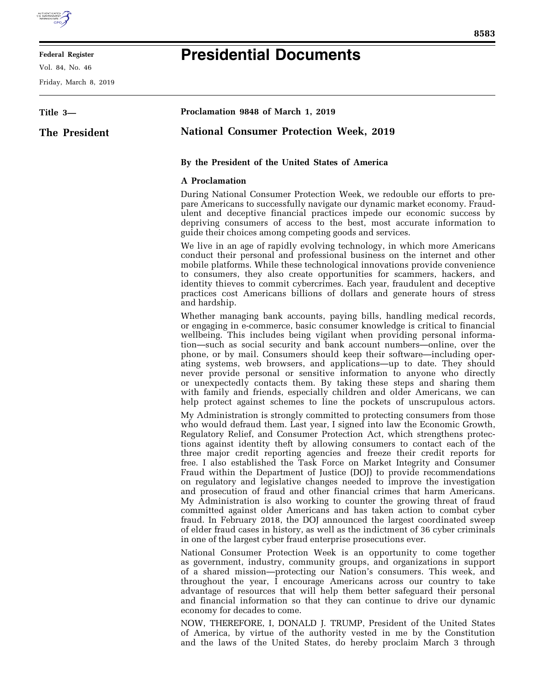

## **Federal Register**

Vol. 84, No. 46

Friday, March 8, 2019

## **Presidential Documents**

| Title 3-      | Proclamation 9848 of March 1, 2019                                                                                                                                                                                                                                                                                                                                                                                                                                                                                                                                                                                                                                                                                                                                                                                                                                                                                                                                                                                                                                                                      |
|---------------|---------------------------------------------------------------------------------------------------------------------------------------------------------------------------------------------------------------------------------------------------------------------------------------------------------------------------------------------------------------------------------------------------------------------------------------------------------------------------------------------------------------------------------------------------------------------------------------------------------------------------------------------------------------------------------------------------------------------------------------------------------------------------------------------------------------------------------------------------------------------------------------------------------------------------------------------------------------------------------------------------------------------------------------------------------------------------------------------------------|
| The President | <b>National Consumer Protection Week, 2019</b>                                                                                                                                                                                                                                                                                                                                                                                                                                                                                                                                                                                                                                                                                                                                                                                                                                                                                                                                                                                                                                                          |
|               | By the President of the United States of America                                                                                                                                                                                                                                                                                                                                                                                                                                                                                                                                                                                                                                                                                                                                                                                                                                                                                                                                                                                                                                                        |
|               | A Proclamation                                                                                                                                                                                                                                                                                                                                                                                                                                                                                                                                                                                                                                                                                                                                                                                                                                                                                                                                                                                                                                                                                          |
|               | During National Consumer Protection Week, we redouble our efforts to pre-<br>pare Americans to successfully navigate our dynamic market economy. Fraud-<br>ulent and deceptive financial practices impede our economic success by<br>depriving consumers of access to the best, most accurate information to<br>guide their choices among competing goods and services.                                                                                                                                                                                                                                                                                                                                                                                                                                                                                                                                                                                                                                                                                                                                 |
|               | We live in an age of rapidly evolving technology, in which more Americans<br>conduct their personal and professional business on the internet and other<br>mobile platforms. While these technological innovations provide convenience<br>to consumers, they also create opportunities for scammers, hackers, and<br>identity thieves to commit cybercrimes. Each year, fraudulent and deceptive<br>practices cost Americans billions of dollars and generate hours of stress<br>and hardship.                                                                                                                                                                                                                                                                                                                                                                                                                                                                                                                                                                                                          |
|               | Whether managing bank accounts, paying bills, handling medical records,<br>or engaging in e-commerce, basic consumer knowledge is critical to financial<br>wellbeing. This includes being vigilant when providing personal informa-<br>tion—such as social security and bank account numbers—online, over the<br>phone, or by mail. Consumers should keep their software—including oper-<br>ating systems, web browsers, and applications—up to date. They should<br>never provide personal or sensitive information to anyone who directly<br>or unexpectedly contacts them. By taking these steps and sharing them<br>with family and friends, especially children and older Americans, we can<br>help protect against schemes to line the pockets of unscrupulous actors.                                                                                                                                                                                                                                                                                                                            |
|               | My Administration is strongly committed to protecting consumers from those<br>who would defraud them. Last year, I signed into law the Economic Growth,<br>Regulatory Relief, and Consumer Protection Act, which strengthens protec-<br>tions against identity theft by allowing consumers to contact each of the<br>three major credit reporting agencies and freeze their credit reports for<br>free. I also established the Task Force on Market Integrity and Consumer<br>Fraud within the Department of Justice (DOJ) to provide recommendations<br>on regulatory and legislative changes needed to improve the investigation<br>and prosecution of fraud and other financial crimes that harm Americans.<br>My Administration is also working to counter the growing threat of fraud<br>committed against older Americans and has taken action to combat cyber<br>fraud. In February 2018, the DOJ announced the largest coordinated sweep<br>of elder fraud cases in history, as well as the indictment of 36 cyber criminals<br>in one of the largest cyber fraud enterprise prosecutions ever. |
|               | National Consumer Protection Week is an opportunity to come together<br>as government, industry, community groups, and organizations in support<br>of a shared mission—protecting our Nation's consumers. This week, and<br>throughout the year, I encourage Americans across our country to take<br>advantage of resources that will help them better safeguard their personal<br>and financial information so that they can continue to drive our dynamic<br>economy for decades to come.                                                                                                                                                                                                                                                                                                                                                                                                                                                                                                                                                                                                             |
|               | NOW, THEREFORE, I, DONALD J. TRUMP, President of the United States<br>of America by virtue of the outbority vected in me by the Constitution                                                                                                                                                                                                                                                                                                                                                                                                                                                                                                                                                                                                                                                                                                                                                                                                                                                                                                                                                            |

of America, by virtue of the authority vested in me by the Constitution and the laws of the United States, do hereby proclaim March 3 through